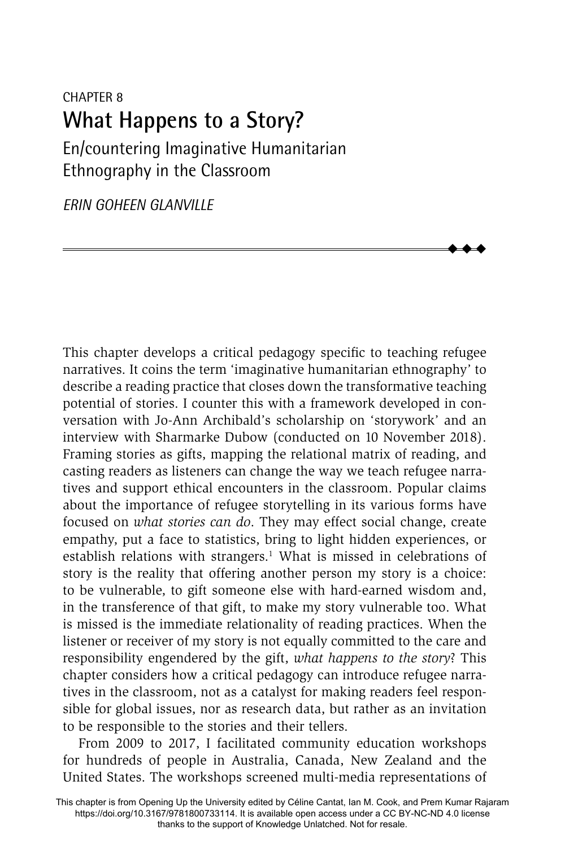# CHAPTER 8 **What Happens to a Story?**

En/countering Imaginative Humanitarian Ethnography in the Classroom

*ERIN GOHEEN GLANVILLE*

This chapter develops a critical pedagogy specific to teaching refugee narratives. It coins the term 'imaginative humanitarian ethnography' to describe a reading practice that closes down the transformative teaching potential of stories. I counter this with a framework developed in conversation with Jo-Ann Archibald's scholarship on 'storywork' and an interview with Sharmarke Dubow (conducted on 10 November 2018). Framing stories as gifts, mapping the relational matrix of reading, and casting readers as listeners can change the way we teach refugee narratives and support ethical encounters in the classroom. Popular claims about the importance of refugee storytelling in its various forms have focused on *what stories can do*. They may effect social change, create empathy, put a face to statistics, bring to light hidden experiences, or establish relations with strangers.<sup>1</sup> What is missed in celebrations of story is the reality that offering another person my story is a choice: to be vulnerable, to gift someone else with hard-earned wisdom and, in the transference of that gift, to make my story vulnerable too. What is missed is the immediate relationality of reading practices. When the listener or receiver of my story is not equally committed to the care and responsibility engendered by the gift, *what happens to the story*? This chapter considers how a critical pedagogy can introduce refugee narratives in the classroom, not as a catalyst for making readers feel responsible for global issues, nor as research data, but rather as an invitation to be responsible to the stories and their tellers.

 $\blacklozenge$  $\blacklozenge$  $\blacklozenge$ 

From 2009 to 2017, I facilitated community education workshops for hundreds of people in Australia, Canada, New Zealand and the United States. The workshops screened multi-media representations of

This chapter is from Opening Up the University edited by Céline Cantat, Ian M. Cook, and Prem Kumar Rajaram https://doi.org/10.3167/9781800733114. It is available open access under a CC BY-NC-ND 4.0 license thanks to the support of Knowledge Unlatched. Not for resale.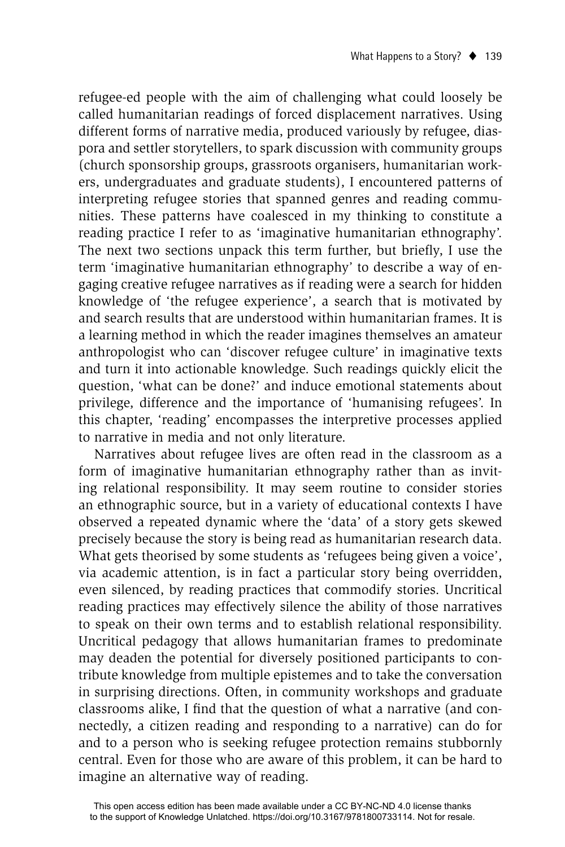refugee-ed people with the aim of challenging what could loosely be called humanitarian readings of forced displacement narratives. Using different forms of narrative media, produced variously by refugee, diaspora and settler storytellers, to spark discussion with community groups (church sponsorship groups, grassroots organisers, humanitarian workers, undergraduates and graduate students), I encountered patterns of interpreting refugee stories that spanned genres and reading communities. These patterns have coalesced in my thinking to constitute a reading practice I refer to as 'imaginative humanitarian ethnography'. The next two sections unpack this term further, but briefly, I use the term 'imaginative humanitarian ethnography' to describe a way of engaging creative refugee narratives as if reading were a search for hidden knowledge of 'the refugee experience', a search that is motivated by and search results that are understood within humanitarian frames. It is a learning method in which the reader imagines themselves an amateur anthropologist who can 'discover refugee culture' in imaginative texts and turn it into actionable knowledge. Such readings quickly elicit the question, 'what can be done?' and induce emotional statements about privilege, difference and the importance of 'humanising refugees'. In this chapter, 'reading' encompasses the interpretive processes applied to narrative in media and not only literature.

Narratives about refugee lives are often read in the classroom as a form of imaginative humanitarian ethnography rather than as inviting relational responsibility. It may seem routine to consider stories an ethnographic source, but in a variety of educational contexts I have observed a repeated dynamic where the 'data' of a story gets skewed precisely because the story is being read as humanitarian research data. What gets theorised by some students as 'refugees being given a voice', via academic attention, is in fact a particular story being overridden, even silenced, by reading practices that commodify stories. Uncritical reading practices may effectively silence the ability of those narratives to speak on their own terms and to establish relational responsibility. Uncritical pedagogy that allows humanitarian frames to predominate may deaden the potential for diversely positioned participants to contribute knowledge from multiple epistemes and to take the conversation in surprising directions. Often, in community workshops and graduate classrooms alike, I find that the question of what a narrative (and connectedly, a citizen reading and responding to a narrative) can do for and to a person who is seeking refugee protection remains stubbornly central. Even for those who are aware of this problem, it can be hard to imagine an alternative way of reading.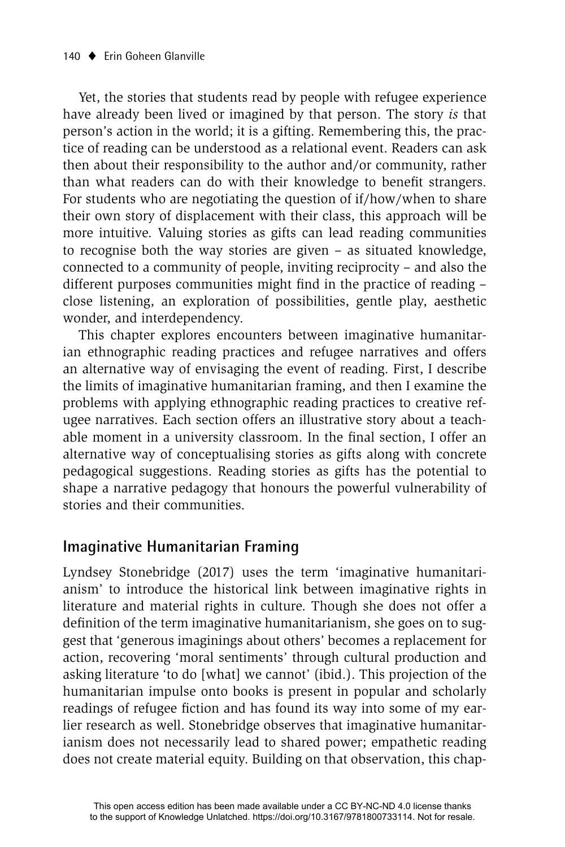Yet, the stories that students read by people with refugee experience have already been lived or imagined by that person. The story *is* that person's action in the world; it is a gifting. Remembering this, the practice of reading can be understood as a relational event. Readers can ask then about their responsibility to the author and/or community, rather than what readers can do with their knowledge to benefit strangers. For students who are negotiating the question of if/how/when to share their own story of displacement with their class, this approach will be more intuitive. Valuing stories as gifts can lead reading communities to recognise both the way stories are given – as situated knowledge, connected to a community of people, inviting reciprocity – and also the different purposes communities might find in the practice of reading  $$ close listening, an exploration of possibilities, gentle play, aesthetic wonder, and interdependency.

This chapter explores encounters between imaginative humanitarian ethnographic reading practices and refugee narratives and offers an alternative way of envisaging the event of reading. First, I describe the limits of imaginative humanitarian framing, and then I examine the problems with applying ethnographic reading practices to creative refugee narratives. Each section offers an illustrative story about a teachable moment in a university classroom. In the final section, I offer an alternative way of conceptualising stories as gifts along with concrete pedagogical suggestions. Reading stories as gifts has the potential to shape a narrative pedagogy that honours the powerful vulnerability of stories and their communities.

### **Imaginative Humanitarian Framing**

Lyndsey Stonebridge (2017) uses the term 'imaginative humanitarianism' to introduce the historical link between imaginative rights in literature and material rights in culture. Though she does not offer a definition of the term imaginative humanitarianism, she goes on to suggest that 'generous imaginings about others' becomes a replacement for action, recovering 'moral sentiments' through cultural production and asking literature 'to do [what] we cannot' (ibid.). This projection of the humanitarian impulse onto books is present in popular and scholarly readings of refugee fiction and has found its way into some of my earlier research as well. Stonebridge observes that imaginative humanitarianism does not necessarily lead to shared power; empathetic reading does not create material equity. Building on that observation, this chap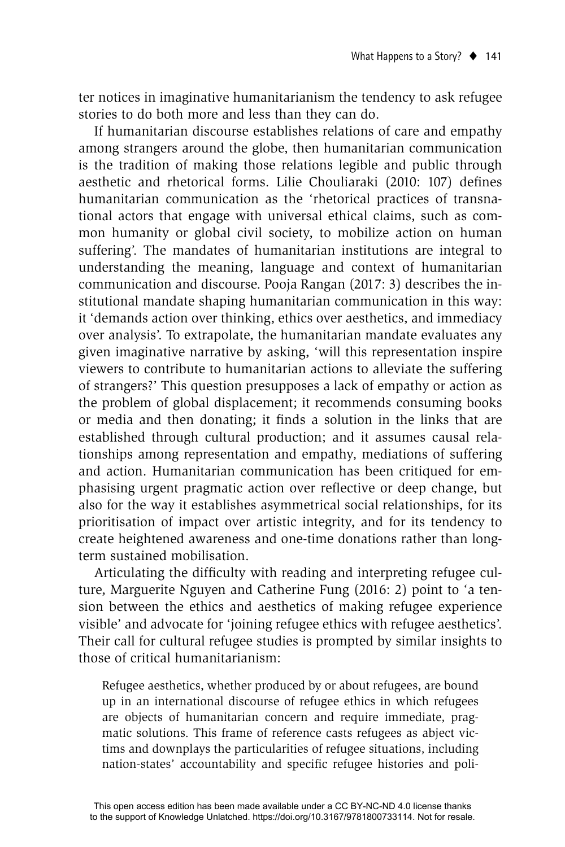ter notices in imaginative humanitarianism the tendency to ask refugee stories to do both more and less than they can do.

If humanitarian discourse establishes relations of care and empathy among strangers around the globe, then humanitarian communication is the tradition of making those relations legible and public through aesthetic and rhetorical forms. Lilie Chouliaraki (2010: 107) defines humanitarian communication as the 'rhetorical practices of transnational actors that engage with universal ethical claims, such as common humanity or global civil society, to mobilize action on human suffering'. The mandates of humanitarian institutions are integral to understanding the meaning, language and context of humanitarian communication and discourse. Pooja Rangan (2017: 3) describes the institutional mandate shaping humanitarian communication in this way: it 'demands action over thinking, ethics over aesthetics, and immediacy over analysis'. To extrapolate, the humanitarian mandate evaluates any given imaginative narrative by asking, 'will this representation inspire viewers to contribute to humanitarian actions to alleviate the suffering of strangers?' This question presupposes a lack of empathy or action as the problem of global displacement; it recommends consuming books or media and then donating; it finds a solution in the links that are established through cultural production; and it assumes causal relationships among representation and empathy, mediations of suffering and action. Humanitarian communication has been critiqued for emphasising urgent pragmatic action over reflective or deep change, but also for the way it establishes asymmetrical social relationships, for its prioritisation of impact over artistic integrity, and for its tendency to create heightened awareness and one-time donations rather than longterm sustained mobilisation.

Articulating the difficulty with reading and interpreting refugee culture, Marguerite Nguyen and Catherine Fung (2016: 2) point to 'a tension between the ethics and aesthetics of making refugee experience visible' and advocate for 'joining refugee ethics with refugee aesthetics'. Their call for cultural refugee studies is prompted by similar insights to those of critical humanitarianism:

Refugee aesthetics, whether produced by or about refugees, are bound up in an international discourse of refugee ethics in which refugees are objects of humanitarian concern and require immediate, pragmatic solutions. This frame of reference casts refugees as abject victims and downplays the particularities of refugee situations, including nation-states' accountability and specific refugee histories and poli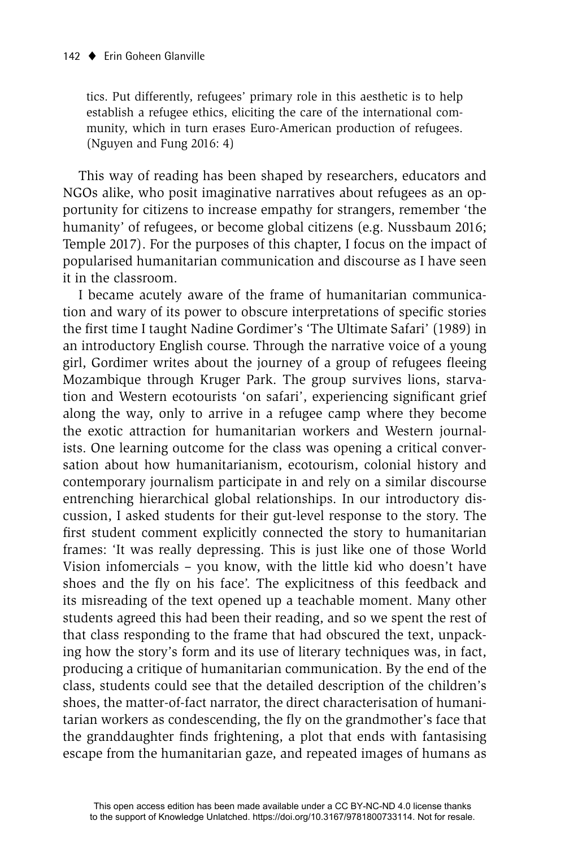tics. Put differently, refugees' primary role in this aesthetic is to help establish a refugee ethics, eliciting the care of the international community, which in turn erases Euro-American production of refugees. (Nguyen and Fung 2016: 4)

This way of reading has been shaped by researchers, educators and NGOs alike, who posit imaginative narratives about refugees as an opportunity for citizens to increase empathy for strangers, remember 'the humanity' of refugees, or become global citizens (e.g. Nussbaum 2016; Temple 2017). For the purposes of this chapter, I focus on the impact of popularised humanitarian communication and discourse as I have seen it in the classroom.

I became acutely aware of the frame of humanitarian communication and wary of its power to obscure interpretations of specific stories the first time I taught Nadine Gordimer's 'The Ultimate Safari' (1989) in an introductory English course. Through the narrative voice of a young girl, Gordimer writes about the journey of a group of refugees fleeing Mozambique through Kruger Park. The group survives lions, starvation and Western ecotourists 'on safari', experiencing significant grief along the way, only to arrive in a refugee camp where they become the exotic attraction for humanitarian workers and Western journalists. One learning outcome for the class was opening a critical conversation about how humanitarianism, ecotourism, colonial history and contemporary journalism participate in and rely on a similar discourse entrenching hierarchical global relationships. In our introductory discussion, I asked students for their gut-level response to the story. The first student comment explicitly connected the story to humanitarian frames: 'It was really depressing. This is just like one of those World Vision infomercials – you know, with the little kid who doesn't have shoes and the fly on his face'. The explicitness of this feedback and its misreading of the text opened up a teachable moment. Many other students agreed this had been their reading, and so we spent the rest of that class responding to the frame that had obscured the text, unpacking how the story's form and its use of literary techniques was, in fact, producing a critique of humanitarian communication. By the end of the class, students could see that the detailed description of the children's shoes, the matter-of-fact narrator, the direct characterisation of humanitarian workers as condescending, the fly on the grandmother's face that the granddaughter finds frightening, a plot that ends with fantasising escape from the humanitarian gaze, and repeated images of humans as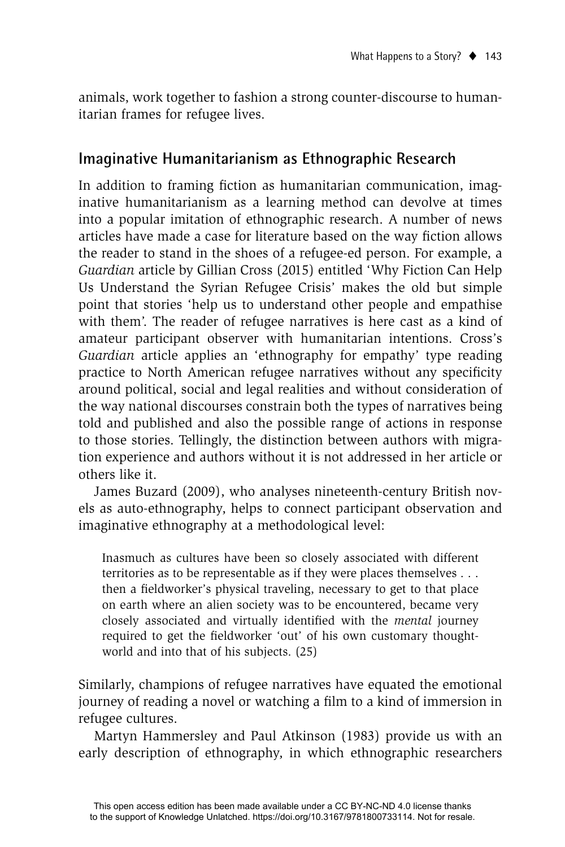animals, work together to fashion a strong counter-discourse to humanitarian frames for refugee lives.

#### **Imaginative Humanitarianism as Ethnographic Research**

In addition to framing fiction as humanitarian communication, imaginative humanitarianism as a learning method can devolve at times into a popular imitation of ethnographic research. A number of news articles have made a case for literature based on the way fiction allows the reader to stand in the shoes of a refugee-ed person. For example, a *Guardian* article by Gillian Cross (2015) entitled 'Why Fiction Can Help Us Understand the Syrian Refugee Crisis' makes the old but simple point that stories 'help us to understand other people and empathise with them'. The reader of refugee narratives is here cast as a kind of amateur participant observer with humanitarian intentions. Cross's *Guardian* article applies an 'ethnography for empathy' type reading practice to North American refugee narratives without any specificity around political, social and legal realities and without consideration of the way national discourses constrain both the types of narratives being told and published and also the possible range of actions in response to those stories. Tellingly, the distinction between authors with migration experience and authors without it is not addressed in her article or others like it.

James Buzard (2009), who analyses nineteenth-century British novels as auto-ethnography, helps to connect participant observation and imaginative ethnography at a methodological level:

Inasmuch as cultures have been so closely associated with different territories as to be representable as if they were places themselves . . . then a fieldworker's physical traveling, necessary to get to that place on earth where an alien society was to be encountered, became very closely associated and virtually identified with the *mental* journey required to get the fieldworker 'out' of his own customary thoughtworld and into that of his subjects. (25)

Similarly, champions of refugee narratives have equated the emotional journey of reading a novel or watching a film to a kind of immersion in refugee cultures.

Martyn Hammersley and Paul Atkinson (1983) provide us with an early description of ethnography, in which ethnographic researchers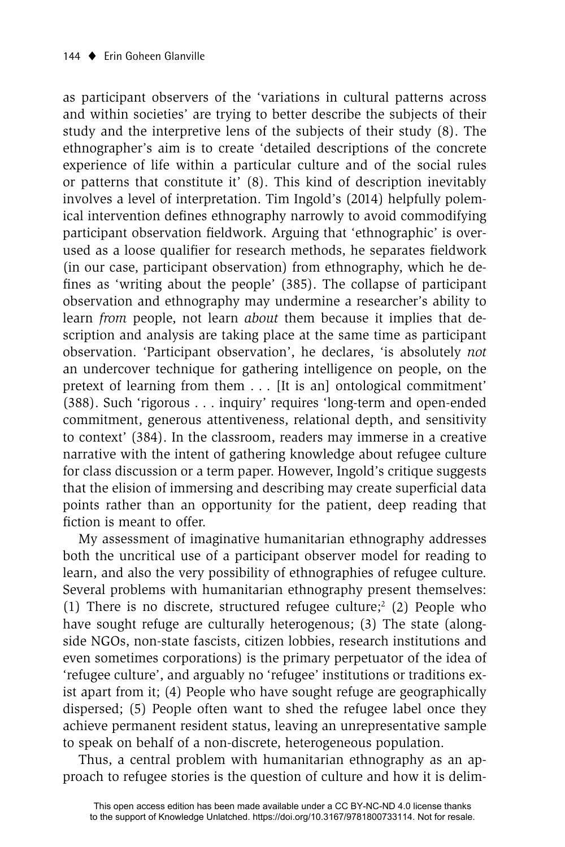as participant observers of the 'variations in cultural patterns across and within societies' are trying to better describe the subjects of their study and the interpretive lens of the subjects of their study (8). The ethnographer's aim is to create 'detailed descriptions of the concrete experience of life within a particular culture and of the social rules or patterns that constitute it' (8). This kind of description inevitably involves a level of interpretation. Tim Ingold's (2014) helpfully polemical intervention defines ethnography narrowly to avoid commodifying participant observation fieldwork. Arguing that 'ethnographic' is overused as a loose qualifier for research methods, he separates fieldwork (in our case, participant observation) from ethnography, which he defines as 'writing about the people' (385). The collapse of participant observation and ethnography may undermine a researcher's ability to learn *from* people, not learn *about* them because it implies that description and analysis are taking place at the same time as participant observation. 'Participant observation', he declares, 'is absolutely *not* an undercover technique for gathering intelligence on people, on the pretext of learning from them . . . [It is an] ontological commitment' (388). Such 'rigorous . . . inquiry' requires 'long-term and open-ended commitment, generous attentiveness, relational depth, and sensitivity to context' (384). In the classroom, readers may immerse in a creative narrative with the intent of gathering knowledge about refugee culture for class discussion or a term paper. However, Ingold's critique suggests that the elision of immersing and describing may create superficial data points rather than an opportunity for the patient, deep reading that fiction is meant to offer.

My assessment of imaginative humanitarian ethnography addresses both the uncritical use of a participant observer model for reading to learn, and also the very possibility of ethnographies of refugee culture. Several problems with humanitarian ethnography present themselves: (1) There is no discrete, structured refugee culture; $2$  (2) People who have sought refuge are culturally heterogenous; (3) The state (alongside NGOs, non-state fascists, citizen lobbies, research institutions and even sometimes corporations) is the primary perpetuator of the idea of 'refugee culture', and arguably no 'refugee' institutions or traditions exist apart from it; (4) People who have sought refuge are geographically dispersed; (5) People often want to shed the refugee label once they achieve permanent resident status, leaving an unrepresentative sample to speak on behalf of a non-discrete, heterogeneous population.

Thus, a central problem with humanitarian ethnography as an approach to refugee stories is the question of culture and how it is delim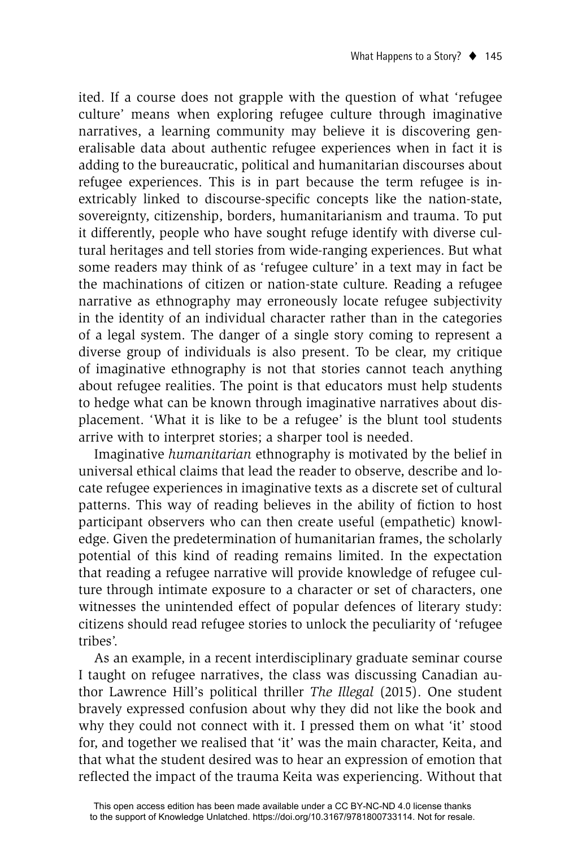ited. If a course does not grapple with the question of what 'refugee culture' means when exploring refugee culture through imaginative narratives, a learning community may believe it is discovering generalisable data about authentic refugee experiences when in fact it is adding to the bureaucratic, political and humanitarian discourses about refugee experiences. This is in part because the term refugee is inextricably linked to discourse-specific concepts like the nation-state, sovereignty, citizenship, borders, humanitarianism and trauma. To put it differently, people who have sought refuge identify with diverse cultural heritages and tell stories from wide-ranging experiences. But what some readers may think of as 'refugee culture' in a text may in fact be the machinations of citizen or nation-state culture. Reading a refugee narrative as ethnography may erroneously locate refugee subjectivity in the identity of an individual character rather than in the categories of a legal system. The danger of a single story coming to represent a diverse group of individuals is also present. To be clear, my critique of imaginative ethnography is not that stories cannot teach anything about refugee realities. The point is that educators must help students to hedge what can be known through imaginative narratives about displacement. 'What it is like to be a refugee' is the blunt tool students arrive with to interpret stories; a sharper tool is needed.

Imaginative *humanitarian* ethnography is motivated by the belief in universal ethical claims that lead the reader to observe, describe and locate refugee experiences in imaginative texts as a discrete set of cultural patterns. This way of reading believes in the ability of fiction to host participant observers who can then create useful (empathetic) knowledge. Given the predetermination of humanitarian frames, the scholarly potential of this kind of reading remains limited. In the expectation that reading a refugee narrative will provide knowledge of refugee culture through intimate exposure to a character or set of characters, one witnesses the unintended effect of popular defences of literary study: citizens should read refugee stories to unlock the peculiarity of 'refugee tribes'.

As an example, in a recent interdisciplinary graduate seminar course I taught on refugee narratives, the class was discussing Canadian author Lawrence Hill's political thriller *The Illegal* (2015). One student bravely expressed confusion about why they did not like the book and why they could not connect with it. I pressed them on what 'it' stood for, and together we realised that 'it' was the main character, Keita, and that what the student desired was to hear an expression of emotion that reflected the impact of the trauma Keita was experiencing. Without that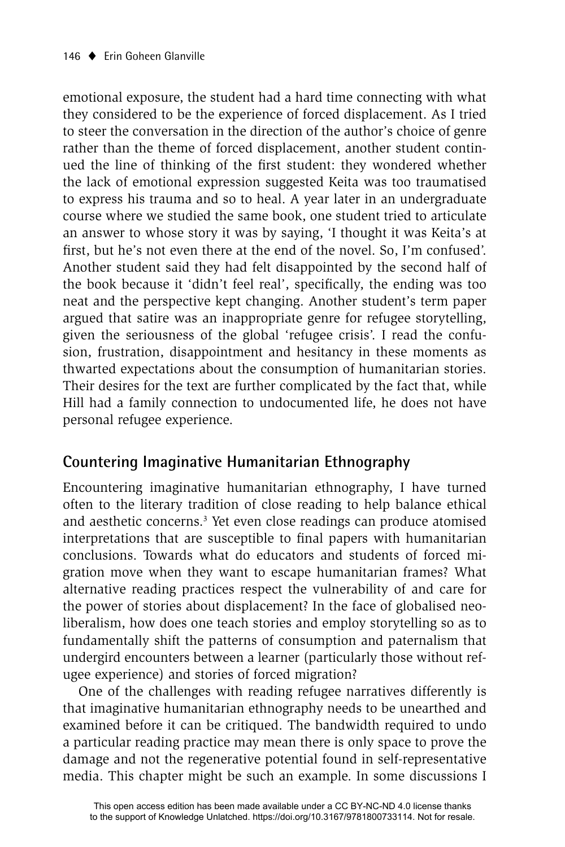emotional exposure, the student had a hard time connecting with what they considered to be the experience of forced displacement. As I tried to steer the conversation in the direction of the author's choice of genre rather than the theme of forced displacement, another student continued the line of thinking of the first student: they wondered whether the lack of emotional expression suggested Keita was too traumatised to express his trauma and so to heal. A year later in an undergraduate course where we studied the same book, one student tried to articulate an answer to whose story it was by saying, 'I thought it was Keita's at first, but he's not even there at the end of the novel. So, I'm confused'. Another student said they had felt disappointed by the second half of the book because it 'didn't feel real', specifically, the ending was too neat and the perspective kept changing. Another student's term paper argued that satire was an inappropriate genre for refugee storytelling, given the seriousness of the global 'refugee crisis'. I read the confusion, frustration, disappointment and hesitancy in these moments as thwarted expectations about the consumption of humanitarian stories. Their desires for the text are further complicated by the fact that, while Hill had a family connection to undocumented life, he does not have personal refugee experience.

#### **Countering Imaginative Humanitarian Ethnography**

Encountering imaginative humanitarian ethnography, I have turned often to the literary tradition of close reading to help balance ethical and aesthetic concerns.<sup>3</sup> Yet even close readings can produce atomised interpretations that are susceptible to final papers with humanitarian conclusions. Towards what do educators and students of forced migration move when they want to escape humanitarian frames? What alternative reading practices respect the vulnerability of and care for the power of stories about displacement? In the face of globalised neoliberalism, how does one teach stories and employ storytelling so as to fundamentally shift the patterns of consumption and paternalism that undergird encounters between a learner (particularly those without refugee experience) and stories of forced migration?

One of the challenges with reading refugee narratives differently is that imaginative humanitarian ethnography needs to be unearthed and examined before it can be critiqued. The bandwidth required to undo a particular reading practice may mean there is only space to prove the damage and not the regenerative potential found in self-representative media. This chapter might be such an example. In some discussions I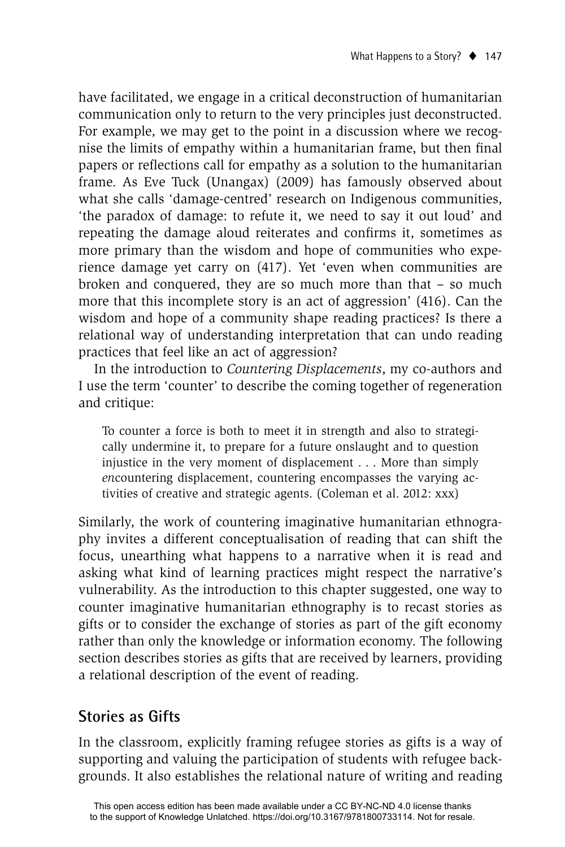have facilitated, we engage in a critical deconstruction of humanitarian communication only to return to the very principles just deconstructed. For example, we may get to the point in a discussion where we recognise the limits of empathy within a humanitarian frame, but then final papers or reflections call for empathy as a solution to the humanitarian frame. As Eve Tuck (Unangax) (2009) has famously observed about what she calls 'damage-centred' research on Indigenous communities, 'the paradox of damage: to refute it, we need to say it out loud' and repeating the damage aloud reiterates and confirms it, sometimes as more primary than the wisdom and hope of communities who experience damage yet carry on (417). Yet 'even when communities are broken and conquered, they are so much more than that – so much more that this incomplete story is an act of aggression' (416). Can the wisdom and hope of a community shape reading practices? Is there a relational way of understanding interpretation that can undo reading practices that feel like an act of aggression?

In the introduction to *Countering Displacements*, my co-authors and I use the term 'counter' to describe the coming together of regeneration and critique:

To counter a force is both to meet it in strength and also to strategically undermine it, to prepare for a future onslaught and to question injustice in the very moment of displacement . . . More than simply *en*countering displacement, countering encompasses the varying activities of creative and strategic agents. (Coleman et al. 2012: xxx)

Similarly, the work of countering imaginative humanitarian ethnography invites a different conceptualisation of reading that can shift the focus, unearthing what happens to a narrative when it is read and asking what kind of learning practices might respect the narrative's vulnerability. As the introduction to this chapter suggested, one way to counter imaginative humanitarian ethnography is to recast stories as gifts or to consider the exchange of stories as part of the gift economy rather than only the knowledge or information economy. The following section describes stories as gifts that are received by learners, providing a relational description of the event of reading.

### **Stories as Gifts**

In the classroom, explicitly framing refugee stories as gifts is a way of supporting and valuing the participation of students with refugee backgrounds. It also establishes the relational nature of writing and reading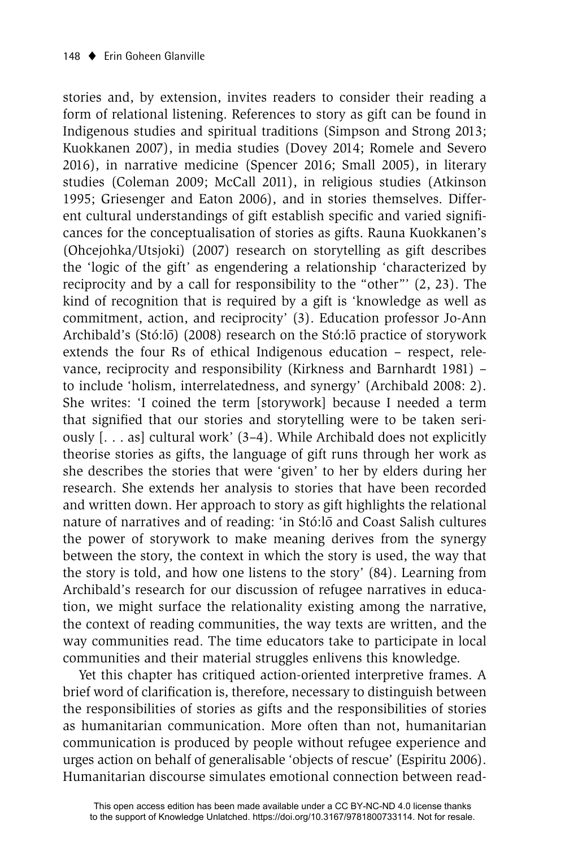stories and, by extension, invites readers to consider their reading a form of relational listening. References to story as gift can be found in Indigenous studies and spiritual traditions (Simpson and Strong 2013; Kuokkanen 2007), in media studies (Dovey 2014; Romele and Severo 2016), in narrative medicine (Spencer 2016; Small 2005), in literary studies (Coleman 2009; McCall 2011), in religious studies (Atkinson 1995; Griesenger and Eaton 2006), and in stories themselves. Different cultural understandings of gift establish specific and varied significances for the conceptualisation of stories as gifts. Rauna Kuokkanen's (Ohcejohka/Utsjoki) (2007) research on storytelling as gift describes the 'logic of the gift' as engendering a relationship 'characterized by reciprocity and by a call for responsibility to the "other"' (2, 23). The kind of recognition that is required by a gift is 'knowledge as well as commitment, action, and reciprocity' (3). Education professor Jo-Ann Archibald's (Stó:lō) (2008) research on the Stó:lō practice of storywork extends the four Rs of ethical Indigenous education – respect, relevance, reciprocity and responsibility (Kirkness and Barnhardt 1981) – to include 'holism, interrelatedness, and synergy' (Archibald 2008: 2). She writes: 'I coined the term [storywork] because I needed a term that signified that our stories and storytelling were to be taken seriously [. . . as] cultural work' (3–4). While Archibald does not explicitly theorise stories as gifts, the language of gift runs through her work as she describes the stories that were 'given' to her by elders during her research. She extends her analysis to stories that have been recorded and written down. Her approach to story as gift highlights the relational nature of narratives and of reading: 'in Stó:lo and Coast Salish cultures the power of storywork to make meaning derives from the synergy between the story, the context in which the story is used, the way that the story is told, and how one listens to the story' (84). Learning from Archibald's research for our discussion of refugee narratives in education, we might surface the relationality existing among the narrative, the context of reading communities, the way texts are written, and the way communities read. The time educators take to participate in local communities and their material struggles enlivens this knowledge.

Yet this chapter has critiqued action-oriented interpretive frames. A brief word of clarification is, therefore, necessary to distinguish between the responsibilities of stories as gifts and the responsibilities of stories as humanitarian communication. More often than not, humanitarian communication is produced by people without refugee experience and urges action on behalf of generalisable 'objects of rescue' (Espiritu 2006). Humanitarian discourse simulates emotional connection between read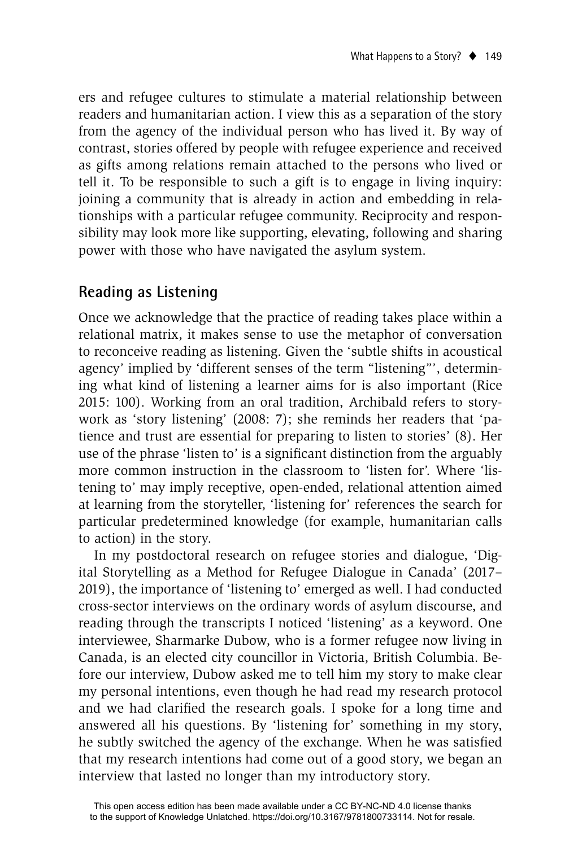ers and refugee cultures to stimulate a material relationship between readers and humanitarian action. I view this as a separation of the story from the agency of the individual person who has lived it. By way of contrast, stories offered by people with refugee experience and received as gifts among relations remain attached to the persons who lived or tell it. To be responsible to such a gift is to engage in living inquiry: joining a community that is already in action and embedding in relationships with a particular refugee community. Reciprocity and responsibility may look more like supporting, elevating, following and sharing power with those who have navigated the asylum system.

## **Reading as Listening**

Once we acknowledge that the practice of reading takes place within a relational matrix, it makes sense to use the metaphor of conversation to reconceive reading as listening. Given the 'subtle shifts in acoustical agency' implied by 'different senses of the term "listening"', determining what kind of listening a learner aims for is also important (Rice 2015: 100). Working from an oral tradition, Archibald refers to storywork as 'story listening' (2008: 7); she reminds her readers that 'patience and trust are essential for preparing to listen to stories' (8). Her use of the phrase 'listen to' is a significant distinction from the arguably more common instruction in the classroom to 'listen for'. Where 'listening to' may imply receptive, open-ended, relational attention aimed at learning from the storyteller, 'listening for' references the search for particular predetermined knowledge (for example, humanitarian calls to action) in the story.

In my postdoctoral research on refugee stories and dialogue, 'Digital Storytelling as a Method for Refugee Dialogue in Canada' (2017– 2019), the importance of 'listening to' emerged as well. I had conducted cross-sector interviews on the ordinary words of asylum discourse, and reading through the transcripts I noticed 'listening' as a keyword. One interviewee, Sharmarke Dubow, who is a former refugee now living in Canada, is an elected city councillor in Victoria, British Columbia. Before our interview, Dubow asked me to tell him my story to make clear my personal intentions, even though he had read my research protocol and we had clarified the research goals. I spoke for a long time and answered all his questions. By 'listening for' something in my story, he subtly switched the agency of the exchange. When he was satisfied that my research intentions had come out of a good story, we began an interview that lasted no longer than my introductory story.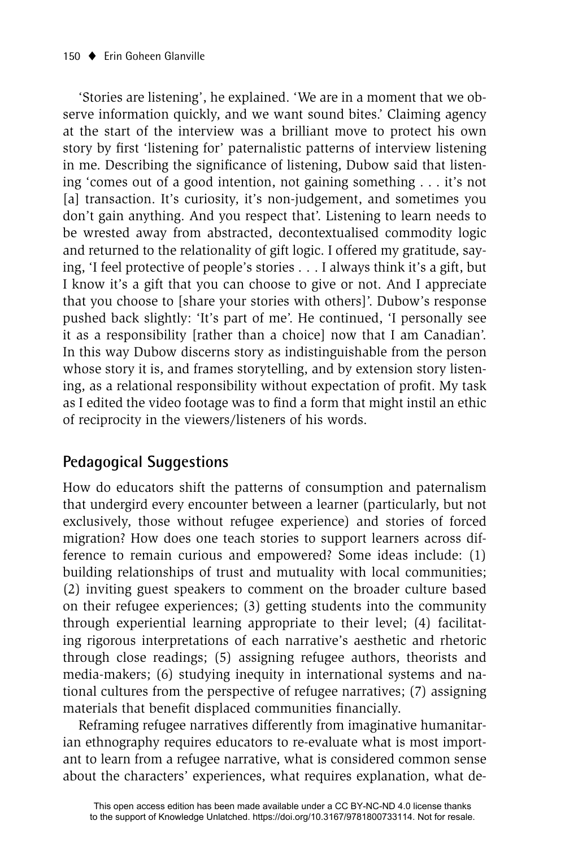'Stories are listening', he explained. 'We are in a moment that we observe information quickly, and we want sound bites.' Claiming agency at the start of the interview was a brilliant move to protect his own story by first 'listening for' paternalistic patterns of interview listening in me. Describing the significance of listening, Dubow said that listening 'comes out of a good intention, not gaining something . . . it's not [a] transaction. It's curiosity, it's non-judgement, and sometimes you don't gain anything. And you respect that'. Listening to learn needs to be wrested away from abstracted, decontextualised commodity logic and returned to the relationality of gift logic. I offered my gratitude, saying, 'I feel protective of people's stories . . . I always think it's a gift, but I know it's a gift that you can choose to give or not. And I appreciate that you choose to [share your stories with others]'. Dubow's response pushed back slightly: 'It's part of me'. He continued, 'I personally see it as a responsibility [rather than a choice] now that I am Canadian'. In this way Dubow discerns story as indistinguishable from the person whose story it is, and frames storytelling, and by extension story listening, as a relational responsibility without expectation of profit. My task as I edited the video footage was to find a form that might instil an ethic of reciprocity in the viewers/listeners of his words.

# **Pedagogical Suggestions**

How do educators shift the patterns of consumption and paternalism that undergird every encounter between a learner (particularly, but not exclusively, those without refugee experience) and stories of forced migration? How does one teach stories to support learners across difference to remain curious and empowered? Some ideas include: (1) building relationships of trust and mutuality with local communities; (2) inviting guest speakers to comment on the broader culture based on their refugee experiences; (3) getting students into the community through experiential learning appropriate to their level; (4) facilitating rigorous interpretations of each narrative's aesthetic and rhetoric through close readings; (5) assigning refugee authors, theorists and media-makers; (6) studying inequity in international systems and national cultures from the perspective of refugee narratives; (7) assigning materials that benefit displaced communities financially.

Reframing refugee narratives differently from imaginative humanitarian ethnography requires educators to re-evaluate what is most important to learn from a refugee narrative, what is considered common sense about the characters' experiences, what requires explanation, what de-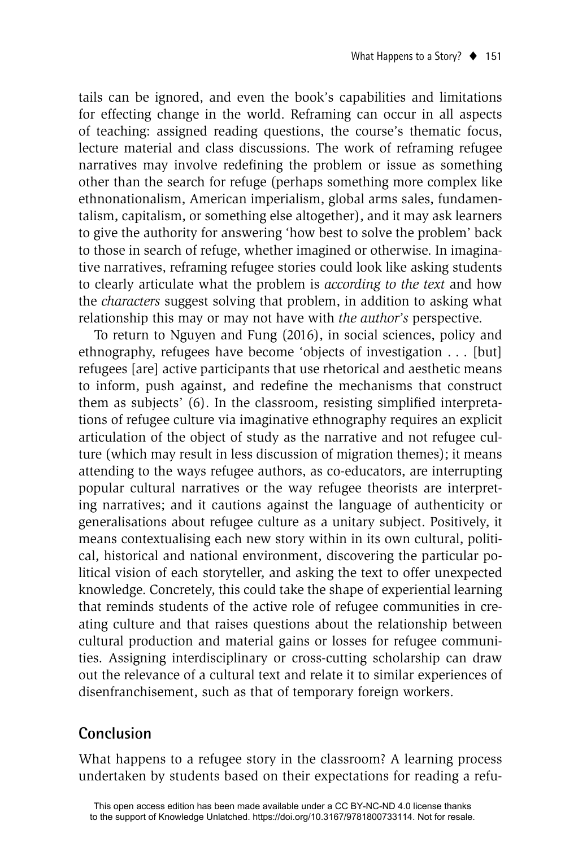tails can be ignored, and even the book's capabilities and limitations for effecting change in the world. Reframing can occur in all aspects of teaching: assigned reading questions, the course's thematic focus, lecture material and class discussions. The work of reframing refugee narratives may involve redefining the problem or issue as something other than the search for refuge (perhaps something more complex like ethnonationalism, American imperialism, global arms sales, fundamentalism, capitalism, or something else altogether), and it may ask learners to give the authority for answering 'how best to solve the problem' back to those in search of refuge, whether imagined or otherwise. In imaginative narratives, reframing refugee stories could look like asking students to clearly articulate what the problem is *according to the text* and how the *characters* suggest solving that problem, in addition to asking what relationship this may or may not have with *the author's* perspective.

To return to Nguyen and Fung (2016), in social sciences, policy and ethnography, refugees have become 'objects of investigation . . . [but] refugees [are] active participants that use rhetorical and aesthetic means to inform, push against, and redefine the mechanisms that construct them as subjects' (6). In the classroom, resisting simplified interpretations of refugee culture via imaginative ethnography requires an explicit articulation of the object of study as the narrative and not refugee culture (which may result in less discussion of migration themes); it means attending to the ways refugee authors, as co-educators, are interrupting popular cultural narratives or the way refugee theorists are interpreting narratives; and it cautions against the language of authenticity or generalisations about refugee culture as a unitary subject. Positively, it means contextualising each new story within in its own cultural, political, historical and national environment, discovering the particular political vision of each storyteller, and asking the text to offer unexpected knowledge. Concretely, this could take the shape of experiential learning that reminds students of the active role of refugee communities in creating culture and that raises questions about the relationship between cultural production and material gains or losses for refugee communities. Assigning interdisciplinary or cross-cutting scholarship can draw out the relevance of a cultural text and relate it to similar experiences of disenfranchisement, such as that of temporary foreign workers.

### **Conclusion**

What happens to a refugee story in the classroom? A learning process undertaken by students based on their expectations for reading a refu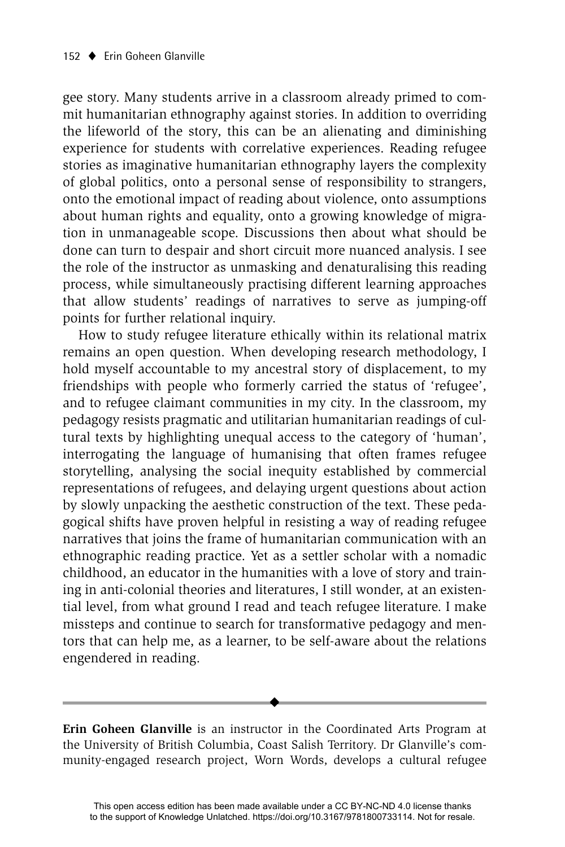gee story. Many students arrive in a classroom already primed to commit humanitarian ethnography against stories. In addition to overriding the lifeworld of the story, this can be an alienating and diminishing experience for students with correlative experiences. Reading refugee stories as imaginative humanitarian ethnography layers the complexity of global politics, onto a personal sense of responsibility to strangers, onto the emotional impact of reading about violence, onto assumptions about human rights and equality, onto a growing knowledge of migration in unmanageable scope. Discussions then about what should be done can turn to despair and short circuit more nuanced analysis. I see the role of the instructor as unmasking and denaturalising this reading process, while simultaneously practising different learning approaches that allow students' readings of narratives to serve as jumping-off points for further relational inquiry.

How to study refugee literature ethically within its relational matrix remains an open question. When developing research methodology, I hold myself accountable to my ancestral story of displacement, to my friendships with people who formerly carried the status of 'refugee', and to refugee claimant communities in my city. In the classroom, my pedagogy resists pragmatic and utilitarian humanitarian readings of cultural texts by highlighting unequal access to the category of 'human', interrogating the language of humanising that often frames refugee storytelling, analysing the social inequity established by commercial representations of refugees, and delaying urgent questions about action by slowly unpacking the aesthetic construction of the text. These pedagogical shifts have proven helpful in resisting a way of reading refugee narratives that joins the frame of humanitarian communication with an ethnographic reading practice. Yet as a settler scholar with a nomadic childhood, an educator in the humanities with a love of story and training in anti-colonial theories and literatures, I still wonder, at an existential level, from what ground I read and teach refugee literature. I make missteps and continue to search for transformative pedagogy and mentors that can help me, as a learner, to be self-aware about the relations engendered in reading.

**Erin Goheen Glanville** is an instructor in the Coordinated Arts Program at the University of British Columbia, Coast Salish Territory. Dr Glanville's community-engaged research project, Worn Words, develops a cultural refugee

 $\blacklozenge$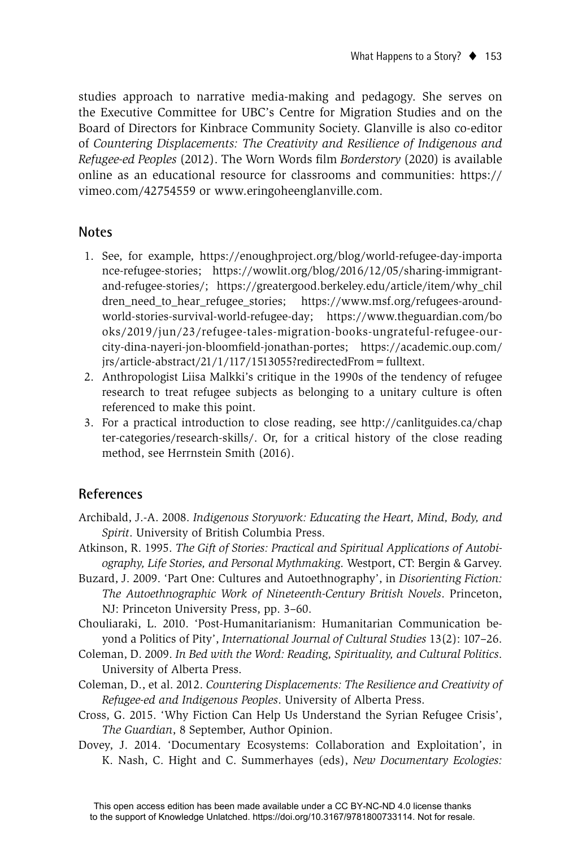studies approach to narrative media-making and pedagogy. She serves on the Executive Committee for UBC's Centre for Migration Studies and on the Board of Directors for Kinbrace Community Society. Glanville is also co-editor of *Countering Displacements: The Creativity and Resilience of Indigenous and Refugee-ed Peoples* (2012). The Worn Words film *Borderstory* (2020) is available online as an educational resource for classrooms and communities: https:// vimeo.com/42754559 or www.eringoheenglanville.com.

#### **Notes**

- 1. See, for example, https://enoughproject.org/blog/world-refugee-day-importa nce-refugee-stories; https://wowlit.org/blog/2016/12/05/sharing-immigrantand-refugee-stories/; https://greatergood.berkeley.edu/article/item/why\_chil dren\_need\_to\_hear\_refugee\_stories; https://www.msf.org/refugees-aroundworld-stories-survival-world-refugee-day; https://www.theguardian.com/bo oks/2019/jun/23/refugee-tales-migration-books-ungrateful-refugee-ourcity-dina-nayeri-jon-bloomfield-jonathan-portes; https://academic.oup.com/ jrs/article-abstract/21/1/117/1513055?redirectedFrom=fulltext.
- 2. Anthropologist Liisa Malkki's critique in the 1990s of the tendency of refugee research to treat refugee subjects as belonging to a unitary culture is often referenced to make this point.
- 3. For a practical introduction to close reading, see http://canlitguides.ca/chap ter-categories/research-skills/. Or, for a critical history of the close reading method, see Herrnstein Smith (2016).

#### **References**

Archibald, J.-A. 2008. *Indigenous Storywork: Educating the Heart, Mind, Body, and Spirit*. University of British Columbia Press.

- Atkinson, R. 1995. *The Gift of Stories: Practical and Spiritual Applications of Autobiography, Life Stories, and Personal Mythmaking*. Westport, CT: Bergin & Garvey.
- Buzard, J. 2009. 'Part One: Cultures and Autoethnography', in *Disorienting Fiction: The Autoethnographic Work of Nineteenth-Century British Novels*. Princeton, NJ: Princeton University Press, pp. 3–60.
- Chouliaraki, L. 2010. 'Post-Humanitarianism: Humanitarian Communication beyond a Politics of Pity', *International Journal of Cultural Studies* 13(2): 107–26.
- Coleman, D. 2009. *In Bed with the Word: Reading, Spirituality, and Cultural Politics*. University of Alberta Press.
- Coleman, D., et al. 2012. *Countering Displacements: The Resilience and Creativity of Refugee-ed and Indigenous Peoples*. University of Alberta Press.
- Cross, G. 2015. 'Why Fiction Can Help Us Understand the Syrian Refugee Crisis', *The Guardian*, 8 September, Author Opinion.
- Dovey, J. 2014. 'Documentary Ecosystems: Collaboration and Exploitation', in K. Nash, C. Hight and C. Summerhayes (eds), *New Documentary Ecologies:*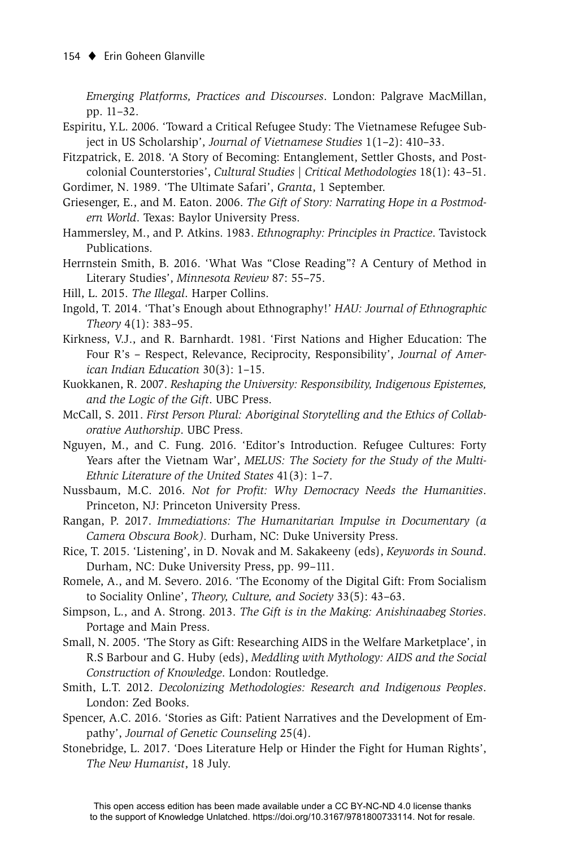*Emerging Platforms, Practices and Discourses*. London: Palgrave MacMillan, pp. 11–32.

- Espiritu, Y.L. 2006. 'Toward a Critical Refugee Study: The Vietnamese Refugee Subject in US Scholarship', *Journal of Vietnamese Studies* 1(1–2): 410–33.
- Fitzpatrick, E. 2018. 'A Story of Becoming: Entanglement, Settler Ghosts, and Postcolonial Counterstories', *Cultural Studies | Critical Methodologies* 18(1): 43–51.
- Gordimer, N. 1989. 'The Ultimate Safari', *Granta*, 1 September.
- Griesenger, E., and M. Eaton. 2006. *The Gift of Story: Narrating Hope in a Postmodern World*. Texas: Baylor University Press.
- Hammersley, M., and P. Atkins. 1983. *Ethnography: Principles in Practice*. Tavistock Publications.
- Herrnstein Smith, B. 2016. 'What Was "Close Reading"? A Century of Method in Literary Studies', *Minnesota Review* 87: 55–75.
- Hill, L. 2015. *The Illegal*. Harper Collins.
- Ingold, T. 2014. 'That's Enough about Ethnography!' *HAU: Journal of Ethnographic Theory* 4(1): 383–95.
- Kirkness, V.J., and R. Barnhardt. 1981. 'First Nations and Higher Education: The Four R's – Respect, Relevance, Reciprocity, Responsibility', *Journal of American Indian Education* 30(3): 1–15.
- Kuokkanen, R. 2007. *Reshaping the University: Responsibility, Indigenous Epistemes, and the Logic of the Gift*. UBC Press.
- McCall, S. 2011. *First Person Plural: Aboriginal Storytelling and the Ethics of Collaborative Authorship*. UBC Press.
- Nguyen, M., and C. Fung. 2016. 'Editor's Introduction. Refugee Cultures: Forty Years after the Vietnam War', *MELUS: The Society for the Study of the Multi-Ethnic Literature of the United States* 41(3): 1–7.
- Nussbaum, M.C. 2016. *Not for Profit: Why Democracy Needs the Humanities*. Princeton, NJ: Princeton University Press.
- Rangan, P. 2017. *Immediations: The Humanitarian Impulse in Documentary (a Camera Obscura Book).* Durham, NC: Duke University Press.
- Rice, T. 2015. 'Listening', in D. Novak and M. Sakakeeny (eds), *Keywords in Sound*. Durham, NC: Duke University Press, pp. 99–111.
- Romele, A., and M. Severo. 2016. 'The Economy of the Digital Gift: From Socialism to Sociality Online', *Theory, Culture, and Society* 33(5): 43–63.
- Simpson, L., and A. Strong. 2013. *The Gift is in the Making: Anishinaabeg Stories*. Portage and Main Press.
- Small, N. 2005. 'The Story as Gift: Researching AIDS in the Welfare Marketplace', in R.S Barbour and G. Huby (eds), *Meddling with Mythology: AIDS and the Social Construction of Knowledge*. London: Routledge.
- Smith, L.T. 2012. *Decolonizing Methodologies: Research and Indigenous Peoples*. London: Zed Books.
- Spencer, A.C. 2016. 'Stories as Gift: Patient Narratives and the Development of Empathy', *Journal of Genetic Counseling* 25(4).
- Stonebridge, L. 2017. 'Does Literature Help or Hinder the Fight for Human Rights', *The New Humanist*, 18 July.